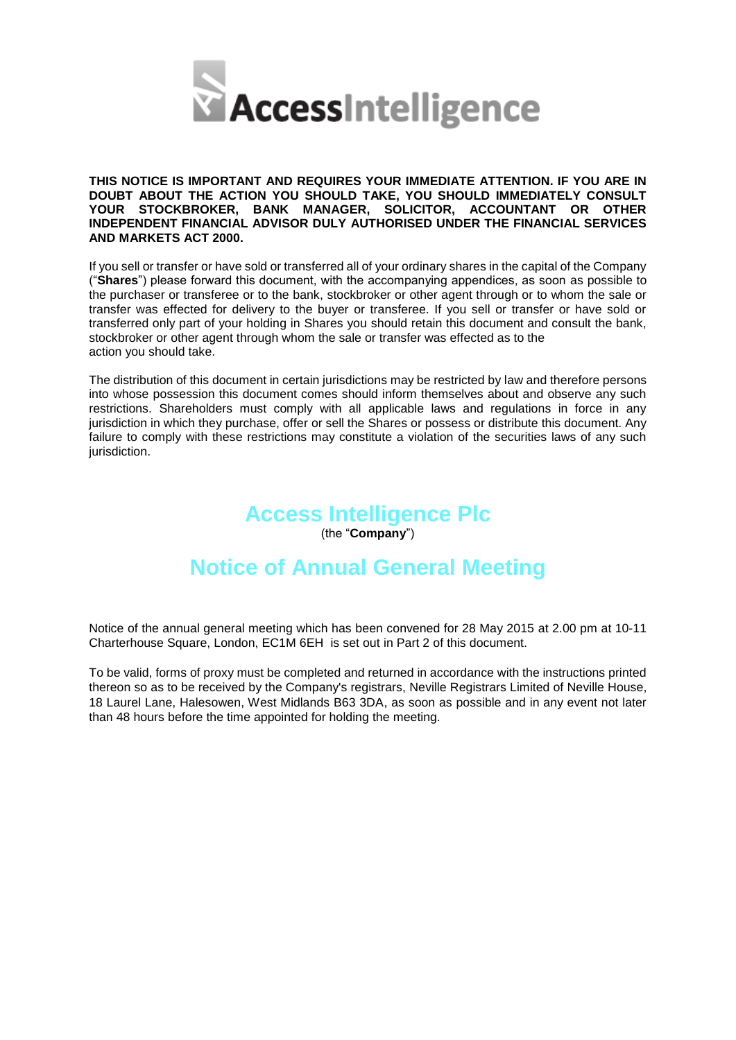

**THIS NOTICE IS IMPORTANT AND REQUIRES YOUR IMMEDIATE ATTENTION. IF YOU ARE IN DOUBT ABOUT THE ACTION YOU SHOULD TAKE, YOU SHOULD IMMEDIATELY CONSULT YOUR STOCKBROKER, BANK MANAGER, SOLICITOR, ACCOUNTANT OR OTHER INDEPENDENT FINANCIAL ADVISOR DULY AUTHORISED UNDER THE FINANCIAL SERVICES AND MARKETS ACT 2000.**

If you sell or transfer or have sold or transferred all of your ordinary shares in the capital of the Company ("**Shares**") please forward this document, with the accompanying appendices, as soon as possible to the purchaser or transferee or to the bank, stockbroker or other agent through or to whom the sale or transfer was effected for delivery to the buyer or transferee. If you sell or transfer or have sold or transferred only part of your holding in Shares you should retain this document and consult the bank, stockbroker or other agent through whom the sale or transfer was effected as to the action you should take.

The distribution of this document in certain jurisdictions may be restricted by law and therefore persons into whose possession this document comes should inform themselves about and observe any such restrictions. Shareholders must comply with all applicable laws and regulations in force in any jurisdiction in which they purchase, offer or sell the Shares or possess or distribute this document. Any failure to comply with these restrictions may constitute a violation of the securities laws of any such jurisdiction.

# **Access Intelligence Plc**

(the "**Company**")

# **Notice of Annual General Meeting**

Notice of the annual general meeting which has been convened for 28 May 2015 at 2.00 pm at 10-11 Charterhouse Square, London, EC1M 6EH is set out in Part 2 of this document.

To be valid, forms of proxy must be completed and returned in accordance with the instructions printed thereon so as to be received by the Company's registrars, Neville Registrars Limited of Neville House, 18 Laurel Lane, Halesowen, West Midlands B63 3DA, as soon as possible and in any event not later than 48 hours before the time appointed for holding the meeting.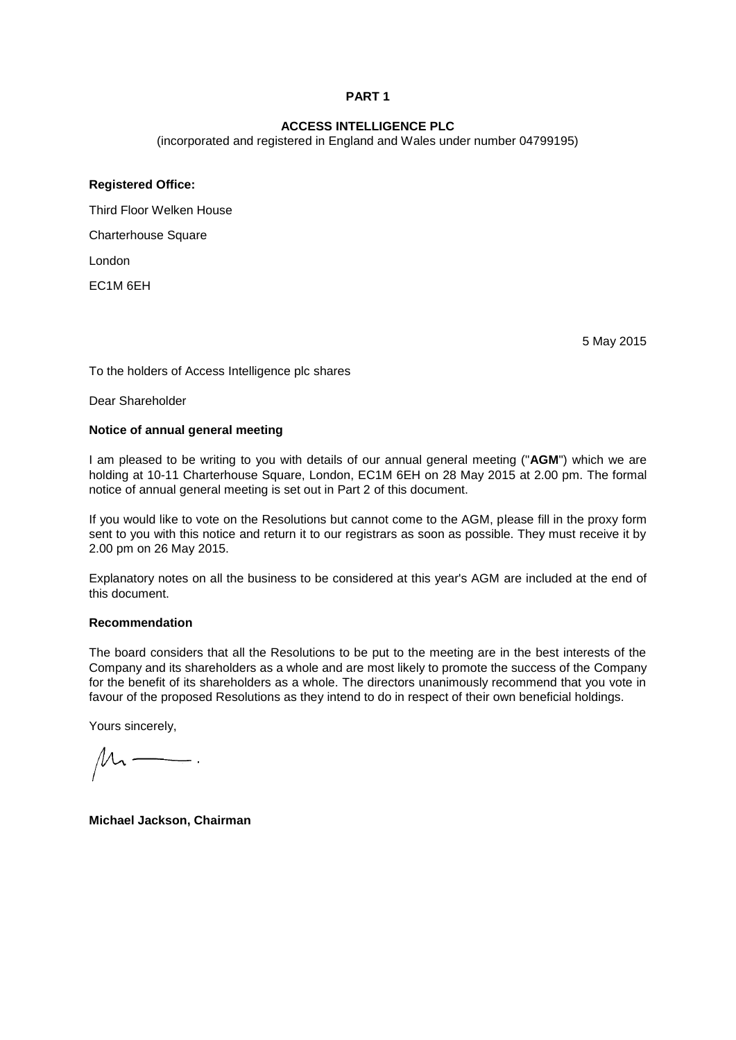# **PART 1**

# **ACCESS INTELLIGENCE PLC**

(incorporated and registered in England and Wales under number 04799195)

# **Registered Office:**

Third Floor Welken House

Charterhouse Square

London

EC1M 6EH

5 May 2015

To the holders of Access Intelligence plc shares

Dear Shareholder

#### **Notice of annual general meeting**

I am pleased to be writing to you with details of our annual general meeting ("**AGM**") which we are holding at 10-11 Charterhouse Square, London, EC1M 6EH on 28 May 2015 at 2.00 pm. The formal notice of annual general meeting is set out in Part 2 of this document.

If you would like to vote on the Resolutions but cannot come to the AGM, please fill in the proxy form sent to you with this notice and return it to our registrars as soon as possible. They must receive it by 2.00 pm on 26 May 2015.

Explanatory notes on all the business to be considered at this year's AGM are included at the end of this document.

# **Recommendation**

The board considers that all the Resolutions to be put to the meeting are in the best interests of the Company and its shareholders as a whole and are most likely to promote the success of the Company for the benefit of its shareholders as a whole. The directors unanimously recommend that you vote in favour of the proposed Resolutions as they intend to do in respect of their own beneficial holdings.

Yours sincerely,

 $\mu$ 

**Michael Jackson, Chairman**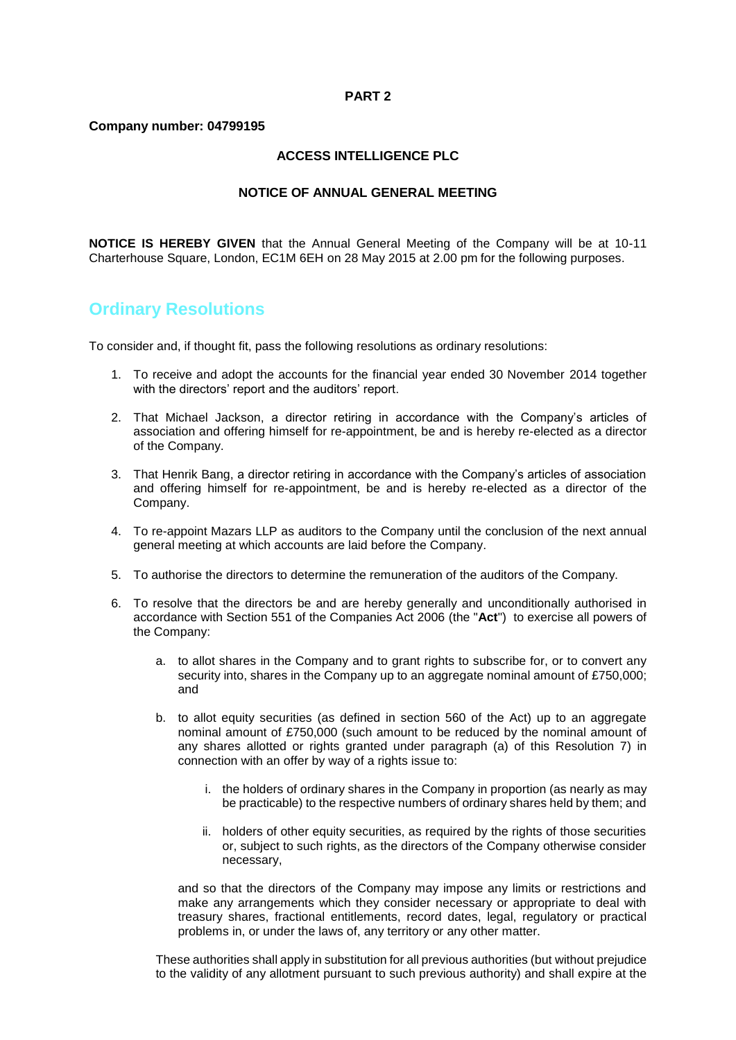# **PART 2**

# **Company number: 04799195**

# **ACCESS INTELLIGENCE PLC**

# **NOTICE OF ANNUAL GENERAL MEETING**

**NOTICE IS HEREBY GIVEN** that the Annual General Meeting of the Company will be at 10-11 Charterhouse Square, London, EC1M 6EH on 28 May 2015 at 2.00 pm for the following purposes.

# **Ordinary Resolutions**

To consider and, if thought fit, pass the following resolutions as ordinary resolutions:

- 1. To receive and adopt the accounts for the financial year ended 30 November 2014 together with the directors' report and the auditors' report.
- 2. That Michael Jackson, a director retiring in accordance with the Company's articles of association and offering himself for re-appointment, be and is hereby re-elected as a director of the Company.
- 3. That Henrik Bang, a director retiring in accordance with the Company's articles of association and offering himself for re-appointment, be and is hereby re-elected as a director of the Company.
- 4. To re-appoint Mazars LLP as auditors to the Company until the conclusion of the next annual general meeting at which accounts are laid before the Company.
- 5. To authorise the directors to determine the remuneration of the auditors of the Company.
- 6. To resolve that the directors be and are hereby generally and unconditionally authorised in accordance with Section 551 of the Companies Act 2006 (the "**Act**") to exercise all powers of the Company:
	- a. to allot shares in the Company and to grant rights to subscribe for, or to convert any security into, shares in the Company up to an aggregate nominal amount of £750,000; and
	- b. to allot equity securities (as defined in section 560 of the Act) up to an aggregate nominal amount of £750,000 (such amount to be reduced by the nominal amount of any shares allotted or rights granted under paragraph (a) of this Resolution 7) in connection with an offer by way of a rights issue to:
		- i. the holders of ordinary shares in the Company in proportion (as nearly as may be practicable) to the respective numbers of ordinary shares held by them; and
		- ii. holders of other equity securities, as required by the rights of those securities or, subject to such rights, as the directors of the Company otherwise consider necessary,

and so that the directors of the Company may impose any limits or restrictions and make any arrangements which they consider necessary or appropriate to deal with treasury shares, fractional entitlements, record dates, legal, regulatory or practical problems in, or under the laws of, any territory or any other matter.

These authorities shall apply in substitution for all previous authorities (but without prejudice to the validity of any allotment pursuant to such previous authority) and shall expire at the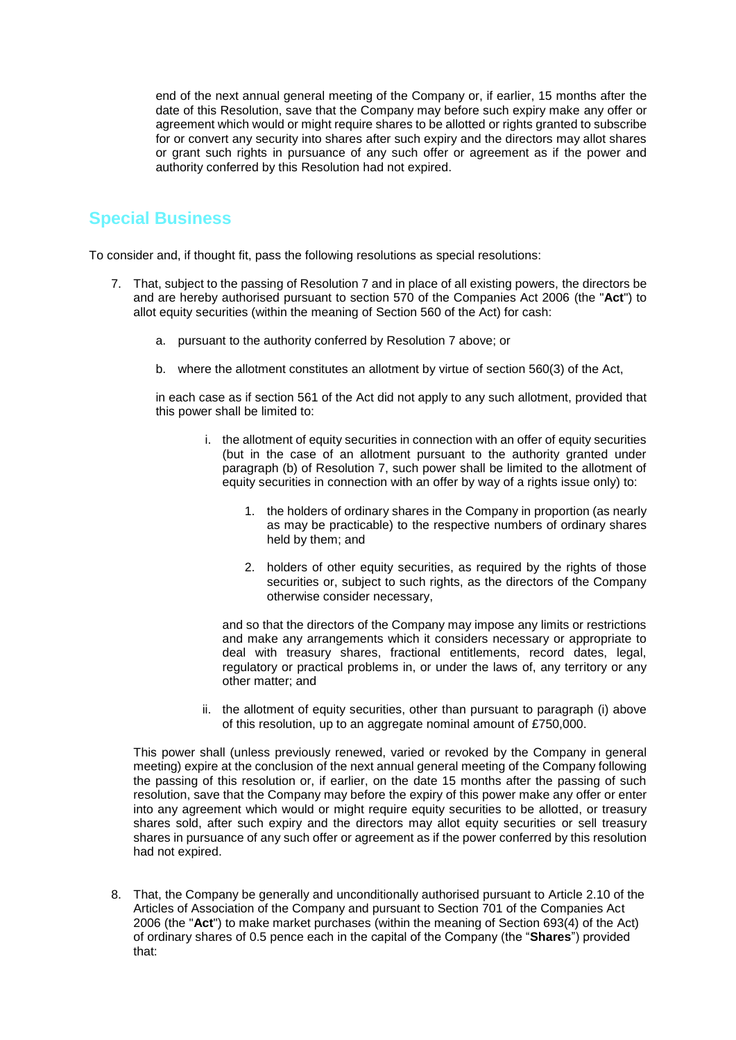end of the next annual general meeting of the Company or, if earlier, 15 months after the date of this Resolution, save that the Company may before such expiry make any offer or agreement which would or might require shares to be allotted or rights granted to subscribe for or convert any security into shares after such expiry and the directors may allot shares or grant such rights in pursuance of any such offer or agreement as if the power and authority conferred by this Resolution had not expired.

# **Special Business**

To consider and, if thought fit, pass the following resolutions as special resolutions:

- 7. That, subject to the passing of Resolution 7 and in place of all existing powers, the directors be and are hereby authorised pursuant to section 570 of the Companies Act 2006 (the "**Act**") to allot equity securities (within the meaning of Section 560 of the Act) for cash:
	- a. pursuant to the authority conferred by Resolution 7 above; or
	- b. where the allotment constitutes an allotment by virtue of section 560(3) of the Act,

in each case as if section 561 of the Act did not apply to any such allotment, provided that this power shall be limited to:

- i. the allotment of equity securities in connection with an offer of equity securities (but in the case of an allotment pursuant to the authority granted under paragraph (b) of Resolution 7, such power shall be limited to the allotment of equity securities in connection with an offer by way of a rights issue only) to:
	- 1. the holders of ordinary shares in the Company in proportion (as nearly as may be practicable) to the respective numbers of ordinary shares held by them; and
	- 2. holders of other equity securities, as required by the rights of those securities or, subject to such rights, as the directors of the Company otherwise consider necessary,

and so that the directors of the Company may impose any limits or restrictions and make any arrangements which it considers necessary or appropriate to deal with treasury shares, fractional entitlements, record dates, legal, regulatory or practical problems in, or under the laws of, any territory or any other matter; and

ii. the allotment of equity securities, other than pursuant to paragraph (i) above of this resolution, up to an aggregate nominal amount of £750,000.

This power shall (unless previously renewed, varied or revoked by the Company in general meeting) expire at the conclusion of the next annual general meeting of the Company following the passing of this resolution or, if earlier, on the date 15 months after the passing of such resolution, save that the Company may before the expiry of this power make any offer or enter into any agreement which would or might require equity securities to be allotted, or treasury shares sold, after such expiry and the directors may allot equity securities or sell treasury shares in pursuance of any such offer or agreement as if the power conferred by this resolution had not expired.

8. That, the Company be generally and unconditionally authorised pursuant to Article 2.10 of the Articles of Association of the Company and pursuant to Section 701 of the Companies Act 2006 (the "**Act**") to make market purchases (within the meaning of Section 693(4) of the Act) of ordinary shares of 0.5 pence each in the capital of the Company (the "**Shares**") provided that: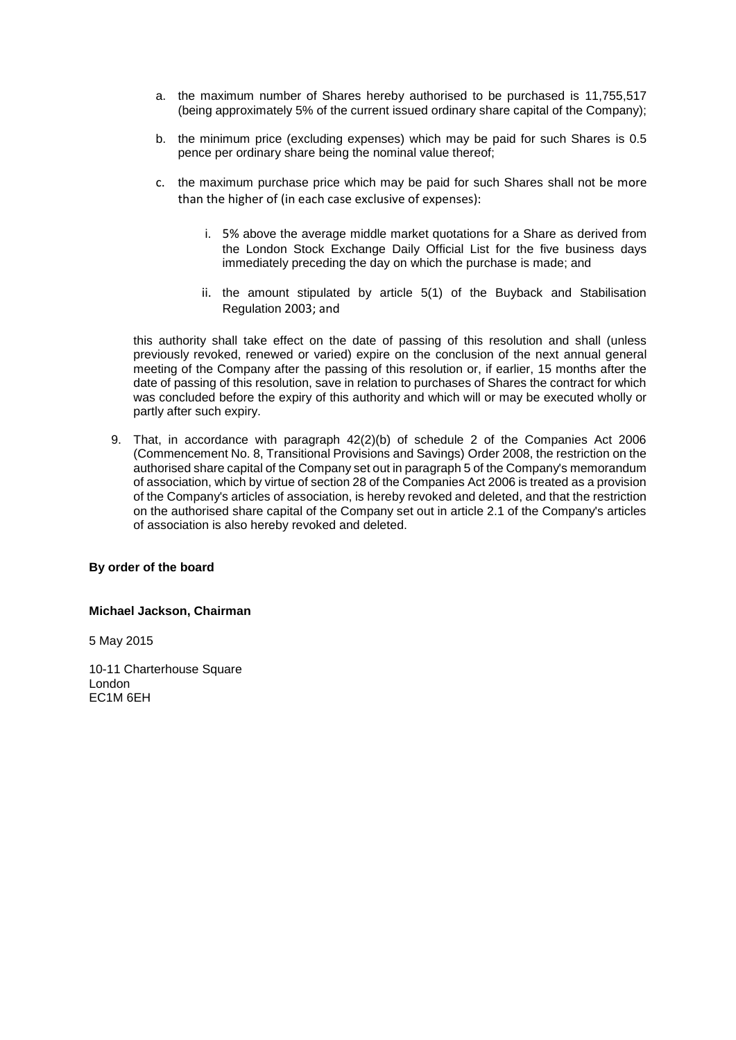- a. the maximum number of Shares hereby authorised to be purchased is 11,755,517 (being approximately 5% of the current issued ordinary share capital of the Company);
- b. the minimum price (excluding expenses) which may be paid for such Shares is 0.5 pence per ordinary share being the nominal value thereof;
- c. the maximum purchase price which may be paid for such Shares shall not be more than the higher of (in each case exclusive of expenses):
	- i. 5% above the average middle market quotations for a Share as derived from the London Stock Exchange Daily Official List for the five business days immediately preceding the day on which the purchase is made; and
	- ii. the amount stipulated by article 5(1) of the Buyback and Stabilisation Regulation 2003; and

this authority shall take effect on the date of passing of this resolution and shall (unless previously revoked, renewed or varied) expire on the conclusion of the next annual general meeting of the Company after the passing of this resolution or, if earlier, 15 months after the date of passing of this resolution, save in relation to purchases of Shares the contract for which was concluded before the expiry of this authority and which will or may be executed wholly or partly after such expiry.

9. That, in accordance with paragraph 42(2)(b) of schedule 2 of the Companies Act 2006 (Commencement No. 8, Transitional Provisions and Savings) Order 2008, the restriction on the authorised share capital of the Company set out in paragraph 5 of the Company's memorandum of association, which by virtue of section 28 of the Companies Act 2006 is treated as a provision of the Company's articles of association, is hereby revoked and deleted, and that the restriction on the authorised share capital of the Company set out in article 2.1 of the Company's articles of association is also hereby revoked and deleted.

# **By order of the board**

# **Michael Jackson, Chairman**

5 May 2015

10-11 Charterhouse Square London EC1M 6EH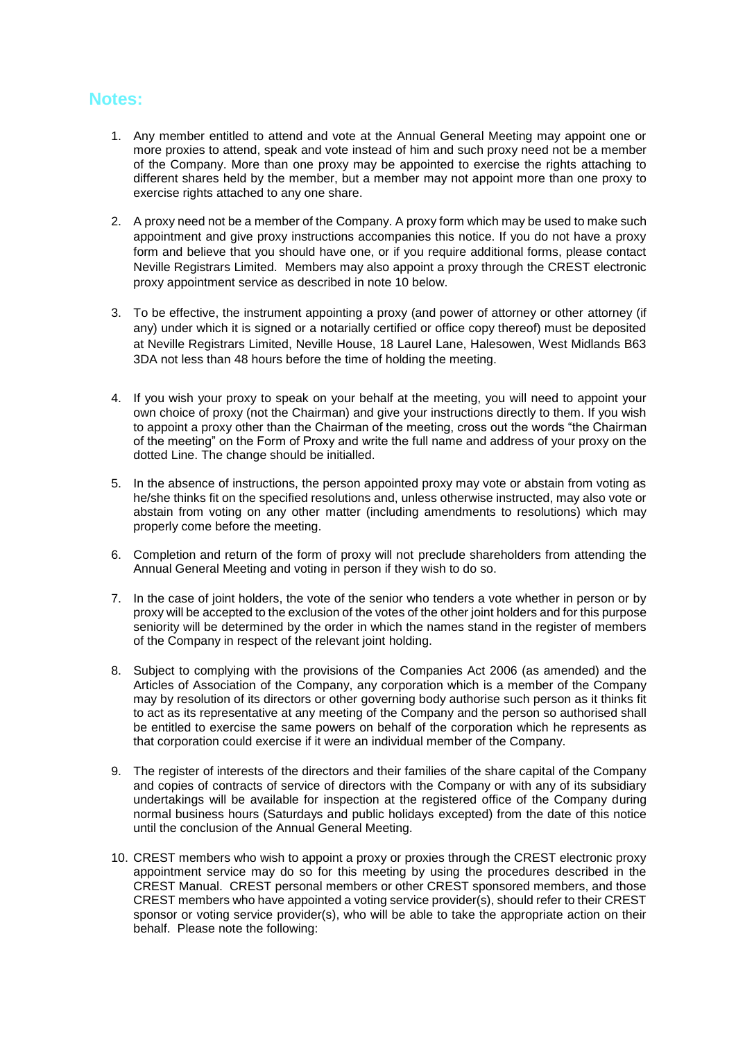# **Notes:**

- 1. Any member entitled to attend and vote at the Annual General Meeting may appoint one or more proxies to attend, speak and vote instead of him and such proxy need not be a member of the Company. More than one proxy may be appointed to exercise the rights attaching to different shares held by the member, but a member may not appoint more than one proxy to exercise rights attached to any one share.
- 2. A proxy need not be a member of the Company. A proxy form which may be used to make such appointment and give proxy instructions accompanies this notice. If you do not have a proxy form and believe that you should have one, or if you require additional forms, please contact Neville Registrars Limited. Members may also appoint a proxy through the CREST electronic proxy appointment service as described in note 10 below.
- 3. To be effective, the instrument appointing a proxy (and power of attorney or other attorney (if any) under which it is signed or a notarially certified or office copy thereof) must be deposited at Neville Registrars Limited, Neville House, 18 Laurel Lane, Halesowen, West Midlands B63 3DA not less than 48 hours before the time of holding the meeting.
- 4. If you wish your proxy to speak on your behalf at the meeting, you will need to appoint your own choice of proxy (not the Chairman) and give your instructions directly to them. If you wish to appoint a proxy other than the Chairman of the meeting, cross out the words "the Chairman of the meeting" on the Form of Proxy and write the full name and address of your proxy on the dotted Line. The change should be initialled.
- 5. In the absence of instructions, the person appointed proxy may vote or abstain from voting as he/she thinks fit on the specified resolutions and, unless otherwise instructed, may also vote or abstain from voting on any other matter (including amendments to resolutions) which may properly come before the meeting.
- 6. Completion and return of the form of proxy will not preclude shareholders from attending the Annual General Meeting and voting in person if they wish to do so.
- 7. In the case of joint holders, the vote of the senior who tenders a vote whether in person or by proxy will be accepted to the exclusion of the votes of the other joint holders and for this purpose seniority will be determined by the order in which the names stand in the register of members of the Company in respect of the relevant joint holding.
- 8. Subject to complying with the provisions of the Companies Act 2006 (as amended) and the Articles of Association of the Company, any corporation which is a member of the Company may by resolution of its directors or other governing body authorise such person as it thinks fit to act as its representative at any meeting of the Company and the person so authorised shall be entitled to exercise the same powers on behalf of the corporation which he represents as that corporation could exercise if it were an individual member of the Company.
- 9. The register of interests of the directors and their families of the share capital of the Company and copies of contracts of service of directors with the Company or with any of its subsidiary undertakings will be available for inspection at the registered office of the Company during normal business hours (Saturdays and public holidays excepted) from the date of this notice until the conclusion of the Annual General Meeting.
- 10. CREST members who wish to appoint a proxy or proxies through the CREST electronic proxy appointment service may do so for this meeting by using the procedures described in the CREST Manual. CREST personal members or other CREST sponsored members, and those CREST members who have appointed a voting service provider(s), should refer to their CREST sponsor or voting service provider(s), who will be able to take the appropriate action on their behalf. Please note the following: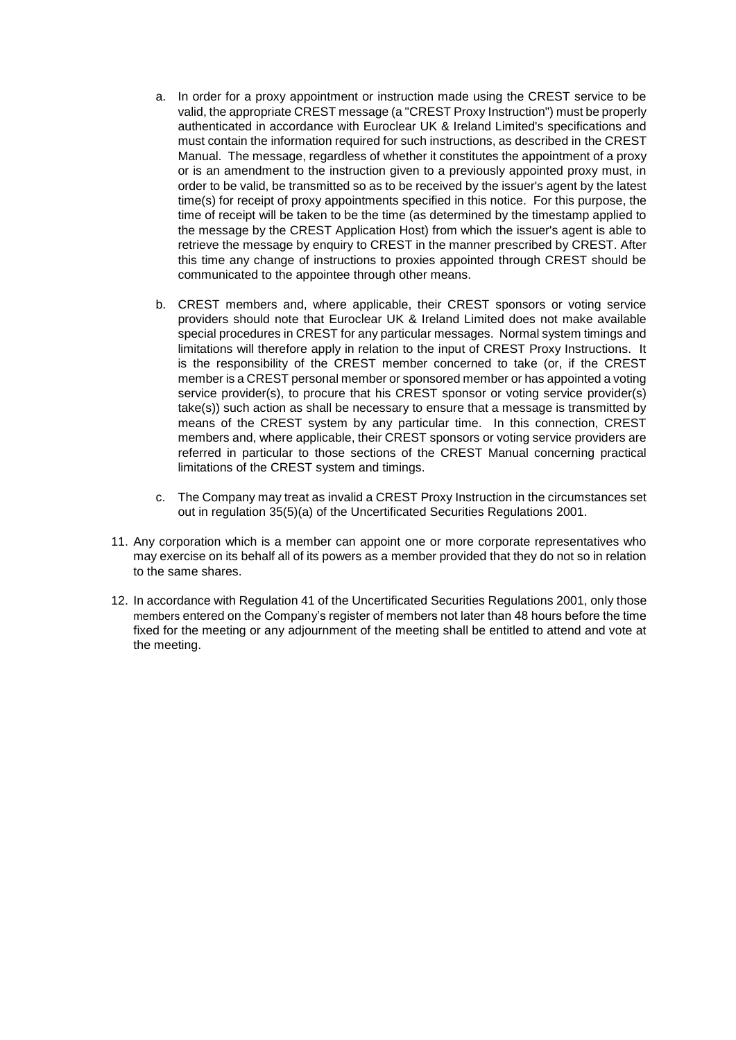- a. In order for a proxy appointment or instruction made using the CREST service to be valid, the appropriate CREST message (a "CREST Proxy Instruction") must be properly authenticated in accordance with Euroclear UK & Ireland Limited's specifications and must contain the information required for such instructions, as described in the CREST Manual. The message, regardless of whether it constitutes the appointment of a proxy or is an amendment to the instruction given to a previously appointed proxy must, in order to be valid, be transmitted so as to be received by the issuer's agent by the latest time(s) for receipt of proxy appointments specified in this notice. For this purpose, the time of receipt will be taken to be the time (as determined by the timestamp applied to the message by the CREST Application Host) from which the issuer's agent is able to retrieve the message by enquiry to CREST in the manner prescribed by CREST. After this time any change of instructions to proxies appointed through CREST should be communicated to the appointee through other means.
- b. CREST members and, where applicable, their CREST sponsors or voting service providers should note that Euroclear UK & Ireland Limited does not make available special procedures in CREST for any particular messages. Normal system timings and limitations will therefore apply in relation to the input of CREST Proxy Instructions. It is the responsibility of the CREST member concerned to take (or, if the CREST member is a CREST personal member or sponsored member or has appointed a voting service provider(s), to procure that his CREST sponsor or voting service provider(s) take(s)) such action as shall be necessary to ensure that a message is transmitted by means of the CREST system by any particular time. In this connection, CREST members and, where applicable, their CREST sponsors or voting service providers are referred in particular to those sections of the CREST Manual concerning practical limitations of the CREST system and timings.
- c. The Company may treat as invalid a CREST Proxy Instruction in the circumstances set out in regulation 35(5)(a) of the Uncertificated Securities Regulations 2001.
- 11. Any corporation which is a member can appoint one or more corporate representatives who may exercise on its behalf all of its powers as a member provided that they do not so in relation to the same shares.
- 12. In accordance with Regulation 41 of the Uncertificated Securities Regulations 2001, only those members entered on the Company's register of members not later than 48 hours before the time fixed for the meeting or any adjournment of the meeting shall be entitled to attend and vote at the meeting.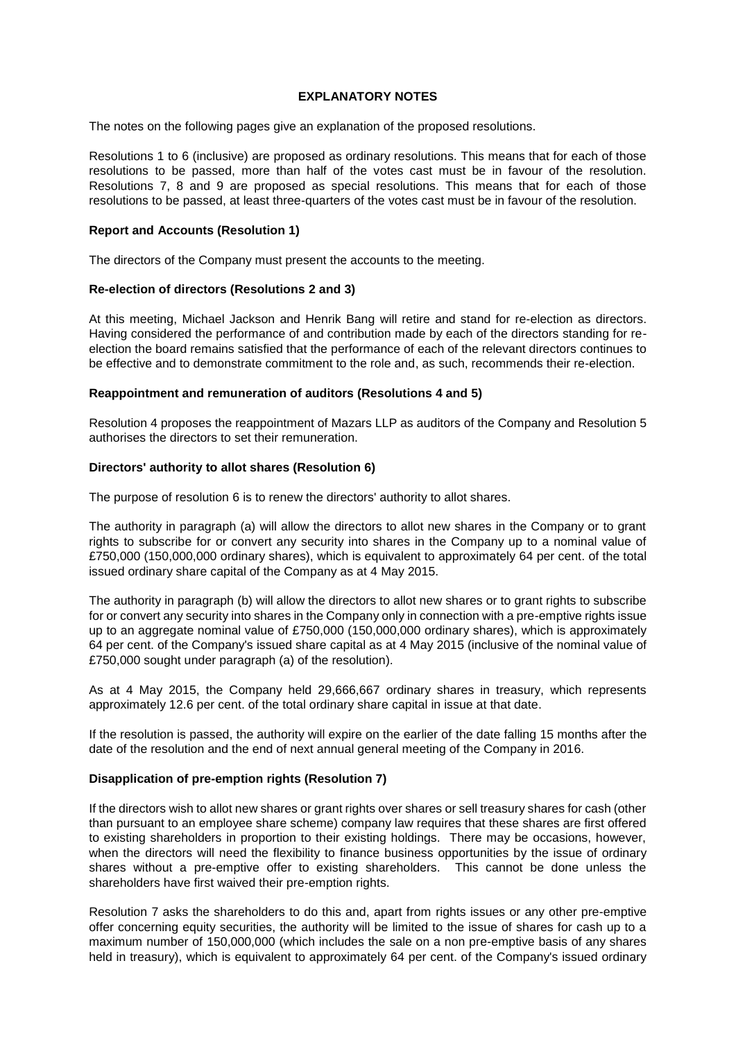# **EXPLANATORY NOTES**

The notes on the following pages give an explanation of the proposed resolutions.

Resolutions 1 to 6 (inclusive) are proposed as ordinary resolutions. This means that for each of those resolutions to be passed, more than half of the votes cast must be in favour of the resolution. Resolutions 7, 8 and 9 are proposed as special resolutions. This means that for each of those resolutions to be passed, at least three-quarters of the votes cast must be in favour of the resolution.

# **Report and Accounts (Resolution 1)**

The directors of the Company must present the accounts to the meeting.

# **Re-election of directors (Resolutions 2 and 3)**

At this meeting, Michael Jackson and Henrik Bang will retire and stand for re-election as directors. Having considered the performance of and contribution made by each of the directors standing for reelection the board remains satisfied that the performance of each of the relevant directors continues to be effective and to demonstrate commitment to the role and, as such, recommends their re-election.

# **Reappointment and remuneration of auditors (Resolutions 4 and 5)**

Resolution 4 proposes the reappointment of Mazars LLP as auditors of the Company and Resolution 5 authorises the directors to set their remuneration.

# **Directors' authority to allot shares (Resolution 6)**

The purpose of resolution 6 is to renew the directors' authority to allot shares.

The authority in paragraph (a) will allow the directors to allot new shares in the Company or to grant rights to subscribe for or convert any security into shares in the Company up to a nominal value of £750,000 (150,000,000 ordinary shares), which is equivalent to approximately 64 per cent. of the total issued ordinary share capital of the Company as at 4 May 2015.

The authority in paragraph (b) will allow the directors to allot new shares or to grant rights to subscribe for or convert any security into shares in the Company only in connection with a pre-emptive rights issue up to an aggregate nominal value of £750,000 (150,000,000 ordinary shares), which is approximately 64 per cent. of the Company's issued share capital as at 4 May 2015 (inclusive of the nominal value of £750,000 sought under paragraph (a) of the resolution).

As at 4 May 2015, the Company held 29,666,667 ordinary shares in treasury, which represents approximately 12.6 per cent. of the total ordinary share capital in issue at that date.

If the resolution is passed, the authority will expire on the earlier of the date falling 15 months after the date of the resolution and the end of next annual general meeting of the Company in 2016.

# **Disapplication of pre-emption rights (Resolution 7)**

If the directors wish to allot new shares or grant rights over shares or sell treasury shares for cash (other than pursuant to an employee share scheme) company law requires that these shares are first offered to existing shareholders in proportion to their existing holdings. There may be occasions, however, when the directors will need the flexibility to finance business opportunities by the issue of ordinary shares without a pre-emptive offer to existing shareholders. This cannot be done unless the shareholders have first waived their pre-emption rights.

Resolution 7 asks the shareholders to do this and, apart from rights issues or any other pre-emptive offer concerning equity securities, the authority will be limited to the issue of shares for cash up to a maximum number of 150,000,000 (which includes the sale on a non pre-emptive basis of any shares held in treasury), which is equivalent to approximately 64 per cent. of the Company's issued ordinary